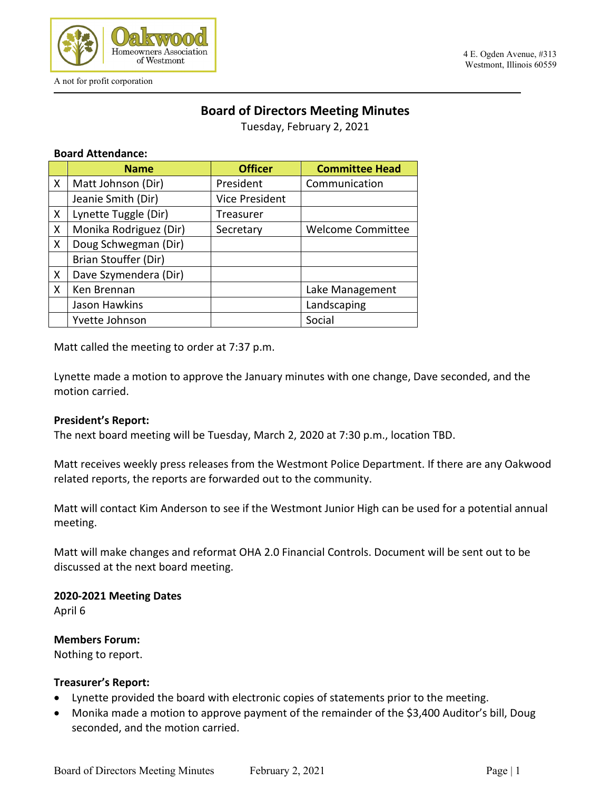

# **Board of Directors Meeting Minutes**

Tuesday, February 2, 2021

### **Board Attendance:**

|   | <b>Name</b>            | <b>Officer</b>        | <b>Committee Head</b>    |
|---|------------------------|-----------------------|--------------------------|
| X | Matt Johnson (Dir)     | President             | Communication            |
|   | Jeanie Smith (Dir)     | <b>Vice President</b> |                          |
| X | Lynette Tuggle (Dir)   | Treasurer             |                          |
| X | Monika Rodriguez (Dir) | Secretary             | <b>Welcome Committee</b> |
| X | Doug Schwegman (Dir)   |                       |                          |
|   | Brian Stouffer (Dir)   |                       |                          |
| X | Dave Szymendera (Dir)  |                       |                          |
| X | Ken Brennan            |                       | Lake Management          |
|   | Jason Hawkins          |                       | Landscaping              |
|   | Yvette Johnson         |                       | Social                   |

Matt called the meeting to order at 7:37 p.m.

Lynette made a motion to approve the January minutes with one change, Dave seconded, and the motion carried.

### **President's Report:**

The next board meeting will be Tuesday, March 2, 2020 at 7:30 p.m., location TBD.

Matt receives weekly press releases from the Westmont Police Department. If there are any Oakwood related reports, the reports are forwarded out to the community.

Matt will contact Kim Anderson to see if the Westmont Junior High can be used for a potential annual meeting.

Matt will make changes and reformat OHA 2.0 Financial Controls. Document will be sent out to be discussed at the next board meeting.

**2020-2021 Meeting Dates** April 6

**Members Forum:** 

Nothing to report.

### **Treasurer's Report:**

- Lynette provided the board with electronic copies of statements prior to the meeting.
- Monika made a motion to approve payment of the remainder of the \$3,400 Auditor's bill, Doug seconded, and the motion carried.